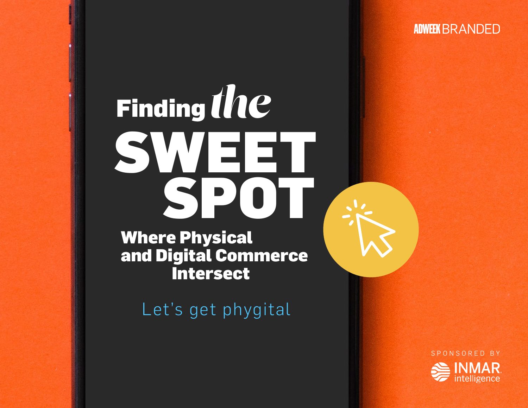**ADWEEK BRANDED** 

# *the*  Finding SWEET SPOT

Where Physical and Digital Commerce Intersect

Let's get phygital

SPONSORED BY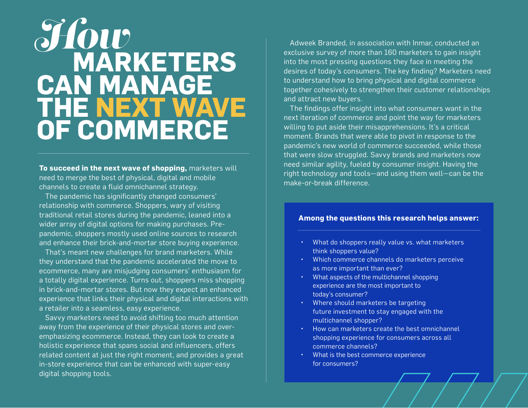### **MARKETERS CAN MANAGE THE NEXT WAVE OF COMMERCE**  *How*

**To succeed in the next wave of shopping,** marketers will need to merge the best of physical, digital and mobile channels to create a fluid omnichannel strategy.

The pandemic has significantly changed consumers' relationship with commerce. Shoppers, wary of visiting traditional retail stores during the pandemic, leaned into a wider array of digital options for making purchases. Prepandemic, shoppers mostly used online sources to research and enhance their brick-and-mortar store buying experience.

That's meant new challenges for brand marketers. While they understand that the pandemic accelerated the move to ecommerce, many are misjudging consumers' enthusiasm for a totally digital experience. Turns out, shoppers miss shopping in brick-and-mortar stores. But now they expect an enhanced experience that links their physical and digital interactions with a retailer into a seamless, easy experience.

Savvy marketers need to avoid shifting too much attention away from the experience of their physical stores and overemphasizing ecommerce. Instead, they can look to create a holistic experience that spans social and influencers, offers related content at just the right moment, and provides a great in-store experience that can be enhanced with super-easy digital shopping tools.

Adweek Branded, in association with Inmar, conducted an exclusive survey of more than 160 marketers to gain insight into the most pressing questions they face in meeting the desires of today's consumers. The key finding? Marketers need to understand how to bring physical and digital commerce together cohesively to strengthen their customer relationships and attract new buyers.

The findings offer insight into what consumers want in the next iteration of commerce and point the way for marketers willing to put aside their misapprehensions. It's a critical moment. Brands that were able to pivot in response to the pandemic's new world of commerce succeeded, while those that were slow struggled. Savvy brands and marketers now need similar agility, fueled by consumer insight. Having the right technology and tools—and using them well—can be the make-or-break difference.

### **Among the questions this research helps answer:**

- What do shoppers really value vs. what marketers think shoppers value?
- Which commerce channels do marketers perceive as more important than ever?
- What aspects of the multichannel shopping experience are the most important to today's consumer?
- Where should marketers be targeting future investment to stay engaged with the multichannel shopper?
- How can marketers create the best omnichannel shopping experience for consumers across all commerce channels?
- What is the best commerce experience for consumers?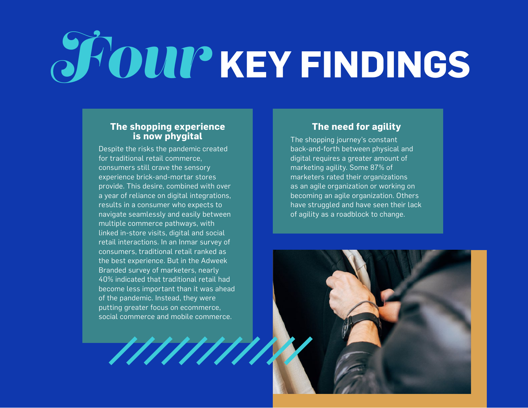## $\bm{OUI}$ <sup>2</sup> KEY FINDINGS *Four*

### **The shopping experience is now phygital**

Despite the risks the pandemic created for traditional retail commerce, consumers still crave the sensory experience brick-and-mortar stores provide. This desire, combined with over a year of reliance on digital integrations, results in a consumer who expects to navigate seamlessly and easily between multiple commerce pathways, with linked in-store visits, digital and social retail interactions. In an Inmar survey of consumers, traditional retail ranked as the best experience. But in the Adweek Branded survey of marketers, nearly 40% indicated that traditional retail had become less important than it was ahead of the pandemic. Instead, they were putting greater focus on ecommerce, social commerce and mobile commerce.

### **The need for agility**

The shopping journey's constant back-and-forth between physical and digital requires a greater amount of marketing agility. Some 87% of marketers rated their organizations as an agile organization or working on becoming an agile organization. Others have struggled and have seen their lack of agility as a roadblock to change.

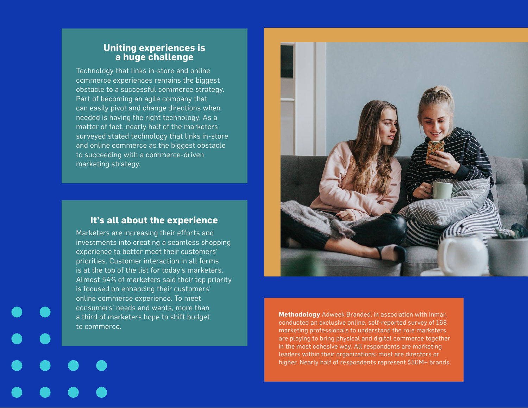### **Uniting experiences is a huge challenge**

Technology that links in-store and online commerce experiences remains the biggest obstacle to a successful commerce strategy. Part of becoming an agile company that can easily pivot and change directions when needed is having the right technology. As a matter of fact, nearly half of the marketers surveyed stated technology that links in-store and online commerce as the biggest obstacle to succeeding with a commerce-driven marketing strategy.

### **It's all about the experience**

Marketers are increasing their efforts and investments into creating a seamless shopping experience to better meet their customers' priorities. Customer interaction in all forms is at the top of the list for today's marketers. Almost 54% of marketers said their top priority is focused on enhancing their customers' online commerce experience. To meet consumers' needs and wants, more than a third of marketers hope to shift budget to commerce.



**Methodology** Adweek Branded, in association with Inmar, conducted an exclusive online, self-reported survey of 168 marketing professionals to understand the role marketers are playing to bring physical and digital commerce together in the most cohesive way. All respondents are marketing leaders within their organizations; most are directors or higher. Nearly half of respondents represent \$50M+ brands.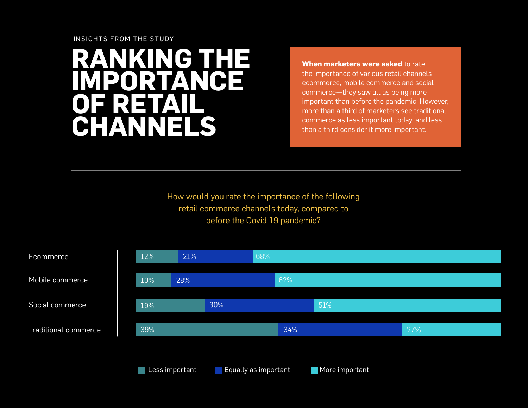### **RANKING THE IMPORTANCE OF RETAIL CHANNELS**

**When marketers were asked** to rate the importance of various retail channels ecommerce, mobile commerce and social commerce—they saw all as being more important than before the pandemic. However, more than a third of marketers see traditional commerce as less important today, and less than a third consider it more important.

How would you rate the importance of the following retail commerce channels today, compared to before the Covid-19 pandemic?

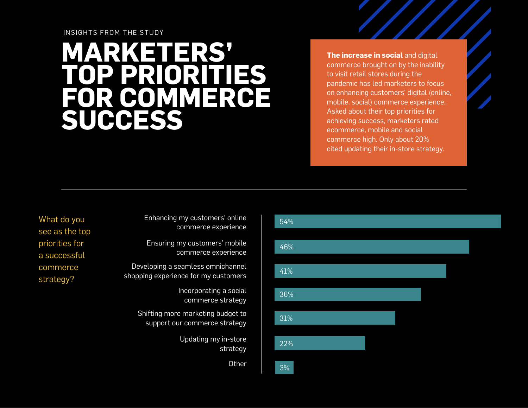### **MARKETERS' TOP PRIORITIES FOR COMMERCE SUCCESS**

**The increase in social** and digital commerce brought on by the inability to visit retail stores during the pandemic has led marketers to focus on enhancing customers' digital (online, mobile, social) commerce experience. Asked about their top priorities for achieving success, marketers rated ecommerce, mobile and social commerce high. Only about 20% cited updating their in-store strategy.

What do you see as the top priorities for a successful commerce strategy?

Enhancing my customers' online commerce experience

Ensuring my customers' mobile commerce experience

Developing a seamless omnichannel shopping experience for my customers

> Incorporating a social commerce strategy

Shifting more marketing budget to support our commerce strategy

> Updating my in-store strategy

> > Other 3%

### 46%

54%

41%

36%

31%

22%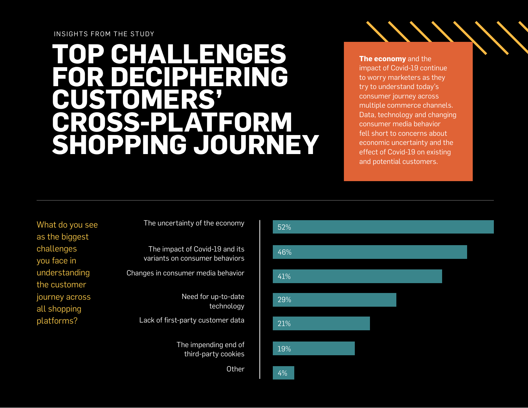### **TOP CHALLENGES FOR DECIPHERING CUSTOMERS' CROSS-PLATFORM SHOPPING JOURNEY**

**The economy** and the impact of Covid-19 continue to worry marketers as they try to understand today's consumer journey across multiple commerce channels. Data, technology and changing consumer media behavior fell short to concerns about economic uncertainty and the effect of Covid-19 on existing and potential customers.

What do you see as the biggest challenges you face in understanding the customer journey across all shopping platforms?

The uncertainty of the economy

The impact of Covid-19 and its variants on consumer behaviors Changes in consumer media behavior Need for up-to-date

technology

Lack of first-party customer data

The impending end of third-party cookies

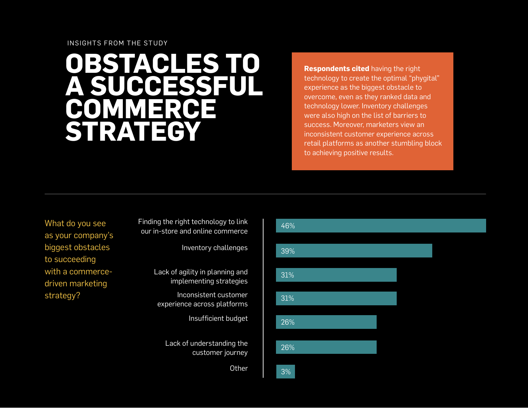### **OBSTACLES TO A SUCCESSFUL COMMERCE STRATEGY**

**Respondents cited** having the right technology to create the optimal "phygital" experience as the biggest obstacle to overcome, even as they ranked data and technology lower. Inventory challenges were also high on the list of barriers to success. Moreover, marketers view an inconsistent customer experience across retail platforms as another stumbling block to achieving positive results.

What do you see as your company's biggest obstacles to succeeding with a commercedriven marketing strategy?

Finding the right technology to link our in-store and online commerce

Inventory challenges

Lack of agility in planning and implementing strategies

Inconsistent customer experience across platforms

Insufficient budget

Lack of understanding the customer journey

Other 3%

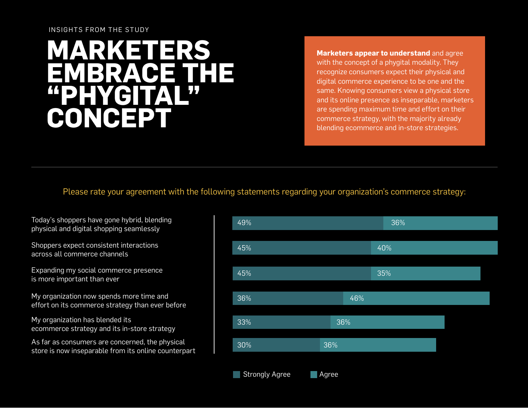### **MARKETERS EMBRACE THE "PHYGITAL" CONCEPT**

**Marketers appear to understand** and agree with the concept of a phygital modality. They recognize consumers expect their physical and digital commerce experience to be one and the same. Knowing consumers view a physical store and its online presence as inseparable, marketers are spending maximum time and effort on their commerce strategy, with the majority already blending ecommerce and in-store strategies.

Please rate your agreement with the following statements regarding your organization's commerce strategy:

Today's shoppers have gone hybrid, blending physical and digital shopping seamlessly

Shoppers expect consistent interactions across all commerce channels

Expanding my social commerce presence is more important than ever

My organization now spends more time and effort on its commerce strategy than ever before

My organization has blended its ecommerce strategy and its in-store strategy

As far as consumers are concerned, the physical store is now inseparable from its online counterpart

| 49%                   |       |     | 36% |  |
|-----------------------|-------|-----|-----|--|
|                       |       |     |     |  |
| 45%                   |       |     | 40% |  |
|                       |       |     |     |  |
| 45%                   |       |     | 35% |  |
|                       |       |     |     |  |
| 36%                   |       | 46% |     |  |
|                       |       |     |     |  |
| 33%                   | 36%   |     |     |  |
| 30%                   | 36%   |     |     |  |
|                       |       |     |     |  |
| <b>Strongly Agree</b> | Agree |     |     |  |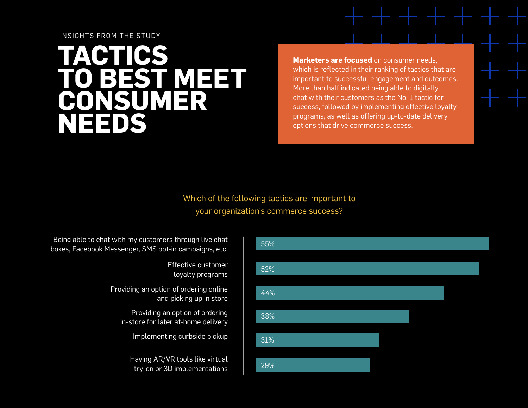### **TACTICS TO BEST MEET CONSUMER NEEDS**

**Marketers are focused** on consumer needs. which is reflected in their ranking of tactics that are important to successful engagement and outcomes. More than half indicated being able to digitally chat with their customers as the No. 1 tactic for success, followed by implementing effective loyalty programs, as well as offering up-to-date delivery options that drive commerce success.

### Which of the following tactics are important to your organization's commerce success?

Being able to chat with my customers through live chat boxes, Facebook Messenger, SMS opt-in campaigns, etc.

> Effective customer loyalty programs

Providing an option of ordering online and picking up in store

Providing an option of ordering in-store for later at-home delivery

Implementing curbside pickup

Having AR/VR tools like virtual try-on or 3D implementations

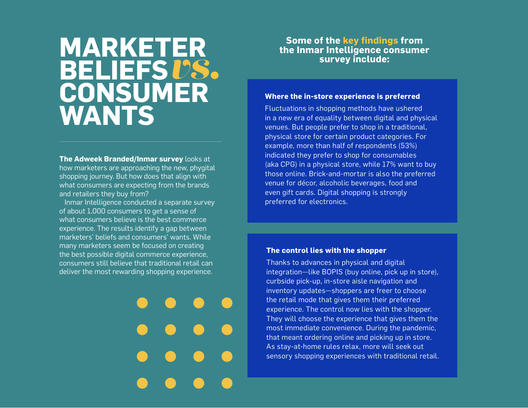### **MARKETER BELIEFS CONSUMER WANTS under**<br>*vs.*<br>**v**

**The Adweek Branded/Inmar survey** looks at how marketers are approaching the new, phygital shopping journey. But how does that align with what consumers are expecting from the brands and retailers they buy from?

 Inmar Intelligence conducted a separate survey of about 1,000 consumers to get a sense of what consumers believe is the best commerce experience. The results identify a gap between marketers' beliefs and consumers' wants. While many marketers seem be focused on creating the best possible digital commerce experience, consumers still believe that traditional retail can deliver the most rewarding shopping experience.

### **Some of the key findings from the Inmar Intelligence consumer**

#### **Where the in-store experience is preferred**

Fluctuations in shopping methods have ushered in a new era of equality between digital and physical venues. But people prefer to shop in a traditional, physical store for certain product categories. For example, more than half of respondents (53%) indicated they prefer to shop for consumables (aka CPG) in a physical store, while 17% want to buy those online. Brick-and-mortar is also the preferred venue for décor, alcoholic beverages, food and even gift cards. Digital shopping is strongly preferred for electronics.

#### **The control lies with the shopper**

Thanks to advances in physical and digital integration—like BOPIS (buy online, pick up in store), curbside pick-up, in-store aisle navigation and inventory updates—shoppers are freer to choose the retail mode that gives them their preferred experience. The control now lies with the shopper. They will choose the experience that gives them the most immediate convenience. During the pandemic, that meant ordering online and picking up in store. As stay-at-home rules relax, more will seek out sensory shopping experiences with traditional retail.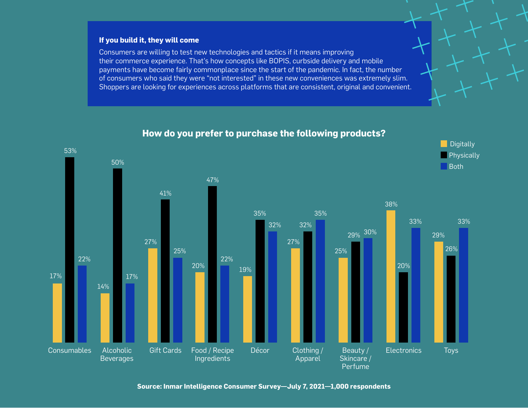### **If you build it, they will come**

Consumers are willing to test new technologies and tactics if it means improving their commerce experience. That's how concepts like BOPIS, curbside delivery and mobile payments have become fairly commonplace since the start of the pandemic. In fact, the number of consumers who said they were "not interested" in these new conveniences was extremely slim. Shoppers are looking for experiences across platforms that are consistent, original and convenient.



### **How do you prefer to purchase the following products?**

**Source: Inmar Intelligence Consumer Survey—July 7, 2021—1,000 respondents**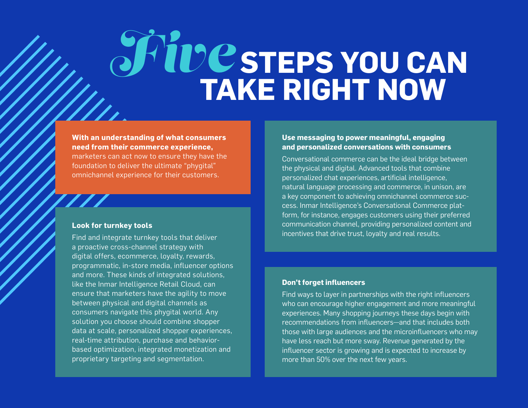### **2C STEPS YOU CAN TAKE RIGHT NOW** *Five*

**With an understanding of what consumers need from their commerce experience,** 

marketers can act now to ensure they have the foundation to deliver the ultimate "phygital" omnichannel experience for their customers.

#### **Look for turnkey tools**

Find and integrate turnkey tools that deliver a proactive cross-channel strategy with digital offers, ecommerce, loyalty, rewards, programmatic, in-store media, influencer options and more. These kinds of integrated solutions, like the Inmar Intelligence Retail Cloud, can ensure that marketers have the agility to move between physical and digital channels as consumers navigate this phygital world. Any solution you choose should combine shopper data at scale, personalized shopper experiences, real-time attribution, purchase and behaviorbased optimization, integrated monetization and proprietary targeting and segmentation.

#### **Use messaging to power meaningful, engaging and personalized conversations with consumers**

Conversational commerce can be the ideal bridge between the physical and digital. Advanced tools that combine personalized chat experiences, artificial intelligence, natural language processing and commerce, in unison, are a key component to achieving omnichannel commerce success. Inmar Intelligence's Conversational Commerce platform, for instance, engages customers using their preferred communication channel, providing personalized content and incentives that drive trust, loyalty and real results.

### **Don't forget influencers**

Find ways to layer in partnerships with the right influencers who can encourage higher engagement and more meaningful experiences. Many shopping journeys these days begin with recommendations from influencers—and that includes both those with large audiences and the microinfluencers who may have less reach but more sway. Revenue generated by the influencer sector is growing and is expected to increase by more than 50% over the next few years.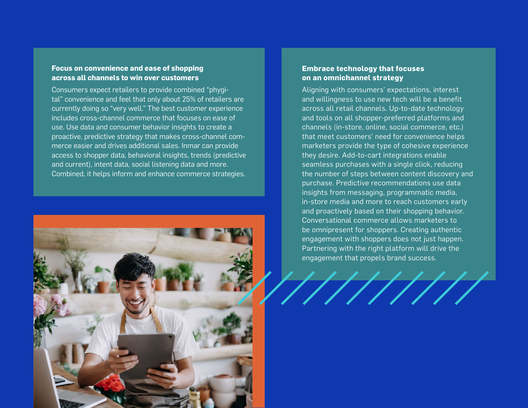### **Focus on convenience and ease of shopping across all channels to win over customers**

Consumers expect retailers to provide combined "phygital" convenience and feel that only about 25% of retailers are currently doing so "very well." The best customer experience includes cross-channel commerce that focuses on ease of use. Use data and consumer behavior insights to create a proactive, predictive strategy that makes cross-channel commerce easier and drives additional sales. Inmar can provide access to shopper data, behavioral insights, trends (predictive and current), intent data, social listening data and more. Combined, it helps inform and enhance commerce strategies.



### **Embrace technology that focuses on an omnichannel strategy**

Aligning with consumers' expectations, interest and willingness to use new tech will be a benefit across all retail channels. Up-to-date technology and tools on all shopper-preferred platforms and channels (in-store, online, social commerce, etc.) that meet customers' need for convenience helps marketers provide the type of cohesive experience they desire. Add-to-cart integrations enable seamless purchases with a single click, reducing the number of steps between content discovery and purchase. Predictive recommendations use data insights from messaging, programmatic media, in-store media and more to reach customers early and proactively based on their shopping behavior. Conversational commerce allows marketers to be omnipresent for shoppers. Creating authentic engagement with shoppers does not just happen. Partnering with the right platform will drive the engagement that propels brand success.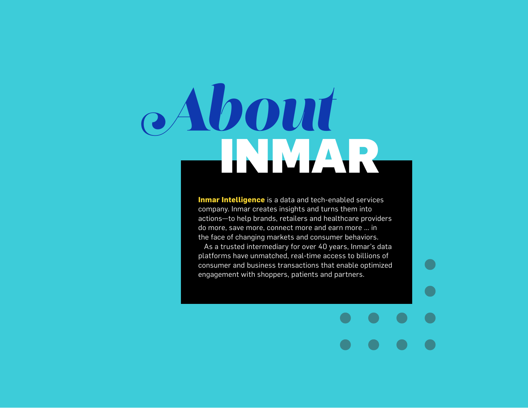# INMAR *About*

**Inmar Intelligence** is a data and tech-enabled services company. Inmar creates insights and turns them into actions—to help brands, retailers and healthcare providers do more, save more, connect more and earn more ... in the face of changing markets and consumer behaviors. As a trusted intermediary for over 40 years, Inmar's data platforms have unmatched, real-time access to billions of consumer and business transactions that enable optimized engagement with shoppers, patients and partners.